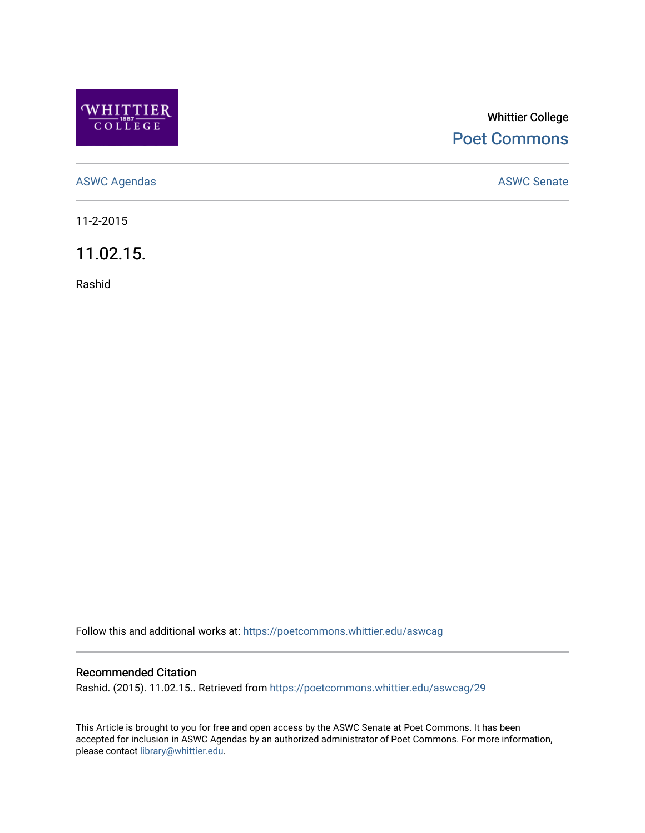

## Whittier College [Poet Commons](https://poetcommons.whittier.edu/)

[ASWC Agendas](https://poetcommons.whittier.edu/aswcag) **ASWC Senate** 

11-2-2015

11.02.15.

Rashid

Follow this and additional works at: [https://poetcommons.whittier.edu/aswcag](https://poetcommons.whittier.edu/aswcag?utm_source=poetcommons.whittier.edu%2Faswcag%2F29&utm_medium=PDF&utm_campaign=PDFCoverPages) 

## Recommended Citation

Rashid. (2015). 11.02.15.. Retrieved from [https://poetcommons.whittier.edu/aswcag/29](https://poetcommons.whittier.edu/aswcag/29?utm_source=poetcommons.whittier.edu%2Faswcag%2F29&utm_medium=PDF&utm_campaign=PDFCoverPages)

This Article is brought to you for free and open access by the ASWC Senate at Poet Commons. It has been accepted for inclusion in ASWC Agendas by an authorized administrator of Poet Commons. For more information, please contact [library@whittier.edu](mailto:library@whittier.edu).